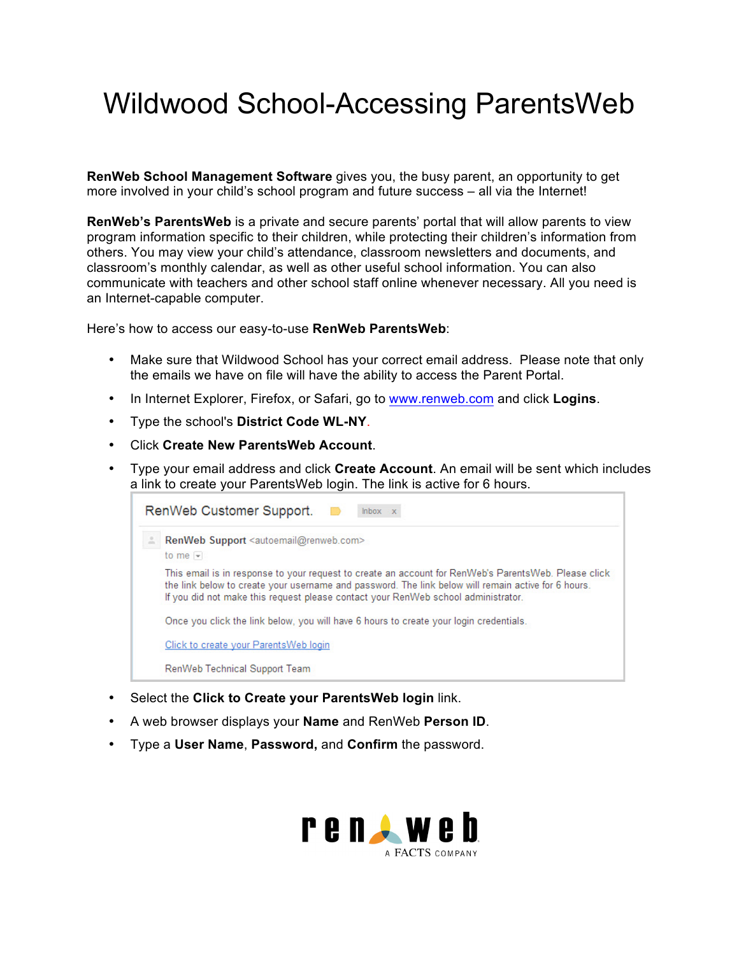## Wildwood School-Accessing ParentsWeb

**RenWeb School Management Software** gives you, the busy parent, an opportunity to get more involved in your child's school program and future success – all via the Internet!

**RenWeb's ParentsWeb** is a private and secure parents' portal that will allow parents to view program information specific to their children, while protecting their children's information from others. You may view your child's attendance, classroom newsletters and documents, and classroom's monthly calendar, as well as other useful school information. You can also communicate with teachers and other school staff online whenever necessary. All you need is an Internet-capable computer.

Here's how to access our easy-to-use **RenWeb ParentsWeb**:

- Make sure that Wildwood School has your correct email address. Please note that only the emails we have on file will have the ability to access the Parent Portal.
- In Internet Explorer, Firefox, or Safari, go to www.renweb.com and click **Logins**.
- Type the school's **District Code WL-NY**.
- Click **Create New ParentsWeb Account**.
- Type your email address and click **Create Account**. An email will be sent which includes a link to create your ParentsWeb login. The link is active for 6 hours.

| RenWeb Customer Support. ■<br>Inbox x                                                                                                                                                                                                                                                            |  |  |  |  |  |  |
|--------------------------------------------------------------------------------------------------------------------------------------------------------------------------------------------------------------------------------------------------------------------------------------------------|--|--|--|--|--|--|
| RenWeb Support <autoemail@renweb.com><br/>to me <math>-</math></autoemail@renweb.com>                                                                                                                                                                                                            |  |  |  |  |  |  |
| This email is in response to your request to create an account for RenWeb's ParentsWeb. Please click<br>the link below to create your username and password. The link below will remain active for 6 hours.<br>If you did not make this request please contact your RenWeb school administrator. |  |  |  |  |  |  |
| Once you click the link below, you will have 6 hours to create your login credentials.                                                                                                                                                                                                           |  |  |  |  |  |  |
| Click to create your Parents Web login                                                                                                                                                                                                                                                           |  |  |  |  |  |  |
| RenWeb Technical Support Team                                                                                                                                                                                                                                                                    |  |  |  |  |  |  |

- Select the **Click to Create your ParentsWeb login** link.
- A web browser displays your **Name** and RenWeb **Person ID**.
- Type a **User Name**, **Password,** and **Confirm** the password.